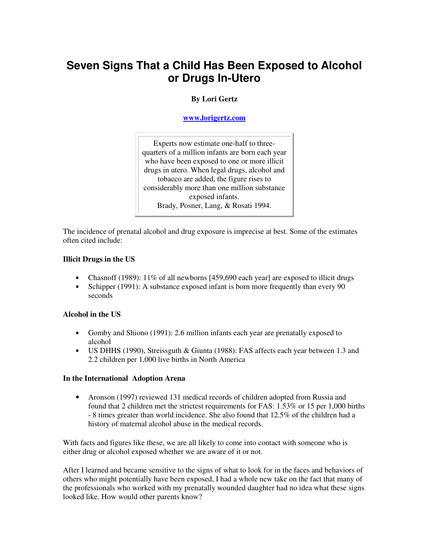# **Seven Signs That a Child Has Been Exposed to Alcohol or Drugs In-Utero**

# **By Lori Gertz**

**www.lorigertz.com**

Experts now estimate one-half to threequarters of a million infants are born each year who have been exposed to one or more illicit drugs in utero. When legal drugs, alcohol and tobacco are added, the figure rises to considerably more than one million substance exposed infants. Brady, Posner, Lang, & Rosati 1994.

The incidence of prenatal alcohol and drug exposure is imprecise at best. Some of the estimates often cited include:

#### **Illicit Drugs in the US**

- Chasnoff (1989): 11% of all newborns [459,690 each year] are exposed to illicit drugs
- Schipper (1991): A substance exposed infant is born more frequently than every 90 seconds

#### **Alcohol in the US**

- Gomby and Shiono (1991): 2.6 million infants each year are prenatally exposed to alcohol
- US DHHS (1990), Streissguth & Giunta (1988): FAS affects each year between 1.3 and 2.2 children per 1,000 live births in North America

#### **In the International Adoption Arena**

• Aronson (1997) reviewed 131 medical records of children adopted from Russia and found that 2 children met the strictest requirements for FAS: 1.53% or 15 per 1,000 births - 8 times greater than world incidence. She also found that 12.5% of the children had a history of maternal alcohol abuse in the medical records.

With facts and figures like these, we are all likely to come into contact with someone who is either drug or alcohol exposed whether we are aware of it or not.

After I learned and became sensitive to the signs of what to look for in the faces and behaviors of others who might potentially have been exposed, I had a whole new take on the fact that many of the professionals who worked with my prenatally wounded daughter had no idea what these signs looked like. How would other parents know?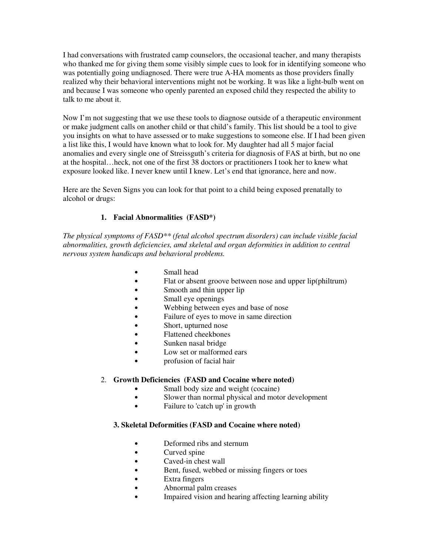I had conversations with frustrated camp counselors, the occasional teacher, and many therapists who thanked me for giving them some visibly simple cues to look for in identifying someone who was potentially going undiagnosed. There were true A-HA moments as those providers finally realized why their behavioral interventions might not be working. It was like a light-bulb went on and because I was someone who openly parented an exposed child they respected the ability to talk to me about it.

Now I'm not suggesting that we use these tools to diagnose outside of a therapeutic environment or make judgment calls on another child or that child's family. This list should be a tool to give you insights on what to have assessed or to make suggestions to someone else. If I had been given a list like this, I would have known what to look for. My daughter had all 5 major facial anomalies and every single one of Streissguth's criteria for diagnosis of FAS at birth, but no one at the hospital…heck, not one of the first 38 doctors or practitioners I took her to knew what exposure looked like. I never knew until I knew. Let's end that ignorance, here and now.

Here are the Seven Signs you can look for that point to a child being exposed prenatally to alcohol or drugs:

## **1. Facial Abnormalities (FASD\*)**

*The physical symptoms of FASD\*\* (fetal alcohol spectrum disorders) can include visible facial abnormalities, growth deficiencies, amd skeletal and organ deformities in addition to central nervous system handicaps and behavioral problems.* 

- Small head
- Flat or absent groove between nose and upper lip(philtrum)
- Smooth and thin upper lip
- Small eye openings
- Webbing between eyes and base of nose
- Failure of eyes to move in same direction
- Short, upturned nose
- Flattened cheekbones
- Sunken nasal bridge
- Low set or malformed ears
- profusion of facial hair

#### 2. **Growth Deficiencies (FASD and Cocaine where noted)**

- Small body size and weight (cocaine)
- Slower than normal physical and motor development
- Failure to 'catch up' in growth

#### **3. Skeletal Deformities (FASD and Cocaine where noted)**

- Deformed ribs and sternum
- Curved spine
- Caved-in chest wall
- Bent, fused, webbed or missing fingers or toes
- Extra fingers
- Abnormal palm creases
- Impaired vision and hearing affecting learning ability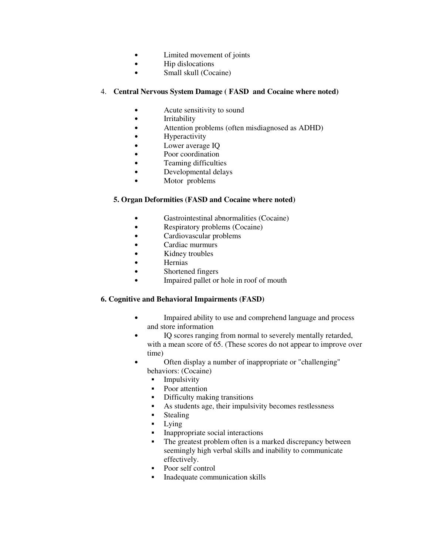- Limited movement of joints
- Hip dislocations
- Small skull (Cocaine)

### 4. **Central Nervous System Damage ( FASD and Cocaine where noted)**

- Acute sensitivity to sound
- Irritability
- Attention problems (often misdiagnosed as ADHD)
- Hyperactivity
- Lower average IQ
- Poor coordination
- Teaming difficulties
- Developmental delays
- Motor problems

#### **5. Organ Deformities (FASD and Cocaine where noted)**

- Gastrointestinal abnormalities (Cocaine)
- Respiratory problems (Cocaine)
- Cardiovascular problems
- Cardiac murmurs
- Kidney troubles
- **Hernias**
- Shortened fingers
- Impaired pallet or hole in roof of mouth

## **6. Cognitive and Behavioral Impairments (FASD)**

- Impaired ability to use and comprehend language and process and store information
- IQ scores ranging from normal to severely mentally retarded, with a mean score of 65. (These scores do not appear to improve over time)
- Often display a number of inappropriate or "challenging" behaviors: (Cocaine)
	- **Impulsivity**
	- Poor attention
	- Difficulty making transitions
	- As students age, their impulsivity becomes restlessness
	- Stealing
	- Lying
	- Inappropriate social interactions
	- The greatest problem often is a marked discrepancy between seemingly high verbal skills and inability to communicate effectively.
	- Poor self control
	- **Inadequate communication skills**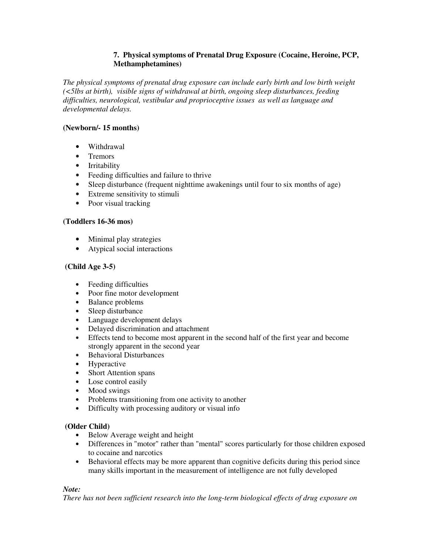## **7. Physical symptoms of Prenatal Drug Exposure (Cocaine, Heroine, PCP, Methamphetamines)**

*The physical symptoms of prenatal drug exposure can include early birth and low birth weight (<5lbs at birth), visible signs of withdrawal at birth, ongoing sleep disturbances, feeding difficulties, neurological, vestibular and proprioceptive issues as well as language and developmental delays.* 

## **(Newborn/- 15 months)**

- Withdrawal
- Tremors
- Irritability
- Feeding difficulties and failure to thrive
- Sleep disturbance (frequent nighttime awakenings until four to six months of age)
- Extreme sensitivity to stimuli
- Poor visual tracking

## **(Toddlers 16-36 mos)**

- Minimal play strategies
- Atypical social interactions

## **(Child Age 3-5)**

- Feeding difficulties
- Poor fine motor development
- Balance problems
- Sleep disturbance
- Language development delays
- Delayed discrimination and attachment
- Effects tend to become most apparent in the second half of the first year and become strongly apparent in the second year
- Behavioral Disturbances
- Hyperactive
- Short Attention spans
- Lose control easily
- Mood swings
- Problems transitioning from one activity to another
- Difficulty with processing auditory or visual info

#### **(Older Child)**

- Below Average weight and height
- Differences in "motor" rather than "mental" scores particularly for those children exposed to cocaine and narcotics
- Behavioral effects may be more apparent than cognitive deficits during this period since many skills important in the measurement of intelligence are not fully developed

#### *Note:*

*There has not been sufficient research into the long-term biological effects of drug exposure on*